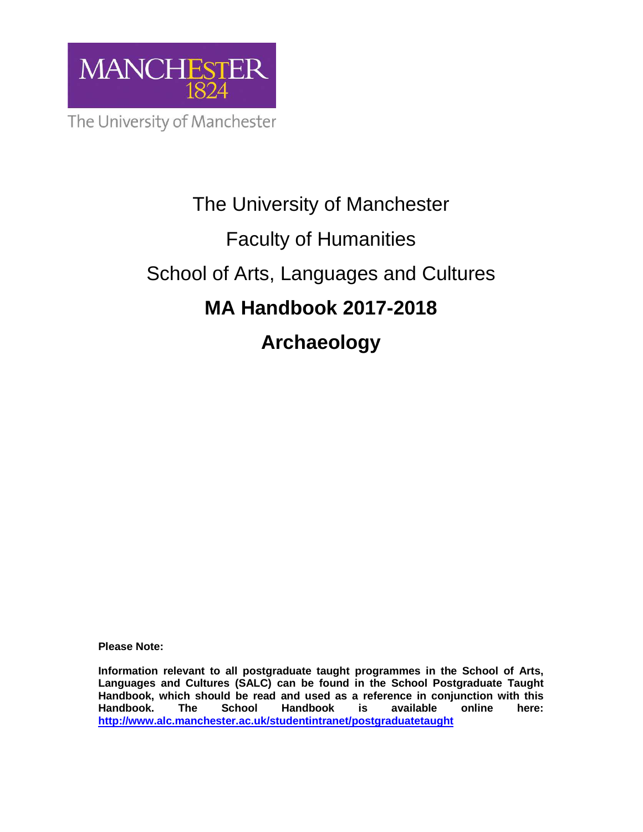

# The University of Manchester Faculty of Humanities School of Arts, Languages and Cultures **MA Handbook 2017-2018 Archaeology**

**Please Note:** 

**Information relevant to all postgraduate taught programmes in the School of Arts, Languages and Cultures (SALC) can be found in the School Postgraduate Taught Handbook, which should be read and used as a reference in conjunction with this Handbook. The School Handbook is available online here: http://www.alc.manchester.ac.uk/studentintranet/postgraduatetaught**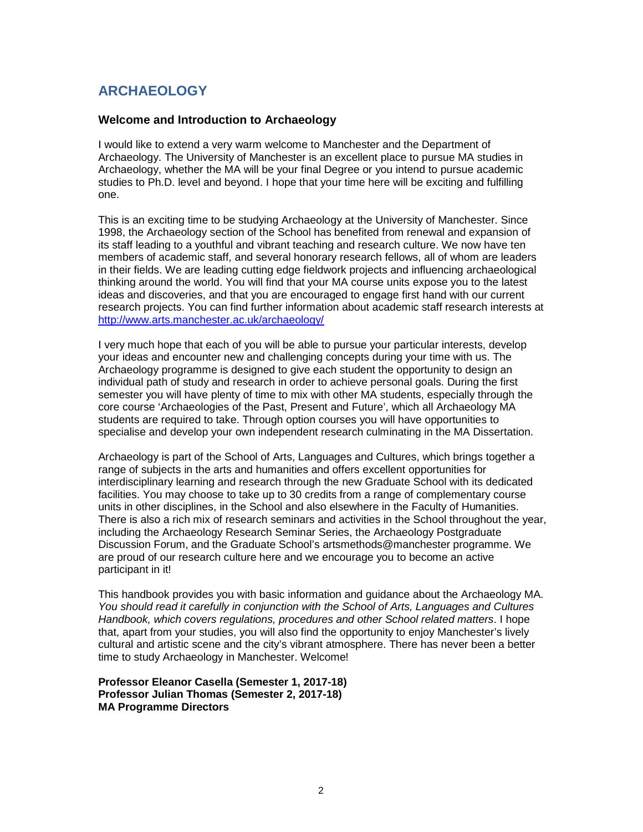# **ARCHAEOLOGY**

# **Welcome and Introduction to Archaeology**

I would like to extend a very warm welcome to Manchester and the Department of Archaeology. The University of Manchester is an excellent place to pursue MA studies in Archaeology, whether the MA will be your final Degree or you intend to pursue academic studies to Ph.D. level and beyond. I hope that your time here will be exciting and fulfilling one.

This is an exciting time to be studying Archaeology at the University of Manchester. Since 1998, the Archaeology section of the School has benefited from renewal and expansion of its staff leading to a youthful and vibrant teaching and research culture. We now have ten members of academic staff, and several honorary research fellows, all of whom are leaders in their fields. We are leading cutting edge fieldwork projects and influencing archaeological thinking around the world. You will find that your MA course units expose you to the latest ideas and discoveries, and that you are encouraged to engage first hand with our current research projects. You can find further information about academic staff research interests at http://www.arts.manchester.ac.uk/archaeology/

I very much hope that each of you will be able to pursue your particular interests, develop your ideas and encounter new and challenging concepts during your time with us. The Archaeology programme is designed to give each student the opportunity to design an individual path of study and research in order to achieve personal goals. During the first semester you will have plenty of time to mix with other MA students, especially through the core course 'Archaeologies of the Past, Present and Future', which all Archaeology MA students are required to take. Through option courses you will have opportunities to specialise and develop your own independent research culminating in the MA Dissertation.

Archaeology is part of the School of Arts, Languages and Cultures, which brings together a range of subjects in the arts and humanities and offers excellent opportunities for interdisciplinary learning and research through the new Graduate School with its dedicated facilities. You may choose to take up to 30 credits from a range of complementary course units in other disciplines, in the School and also elsewhere in the Faculty of Humanities. There is also a rich mix of research seminars and activities in the School throughout the year, including the Archaeology Research Seminar Series, the Archaeology Postgraduate Discussion Forum, and the Graduate School's artsmethods@manchester programme. We are proud of our research culture here and we encourage you to become an active participant in it!

This handbook provides you with basic information and guidance about the Archaeology MA. You should read it carefully in conjunction with the School of Arts, Languages and Cultures Handbook, which covers regulations, procedures and other School related matters. I hope that, apart from your studies, you will also find the opportunity to enjoy Manchester's lively cultural and artistic scene and the city's vibrant atmosphere. There has never been a better time to study Archaeology in Manchester. Welcome!

**Professor Eleanor Casella (Semester 1, 2017-18) Professor Julian Thomas (Semester 2, 2017-18) MA Programme Directors**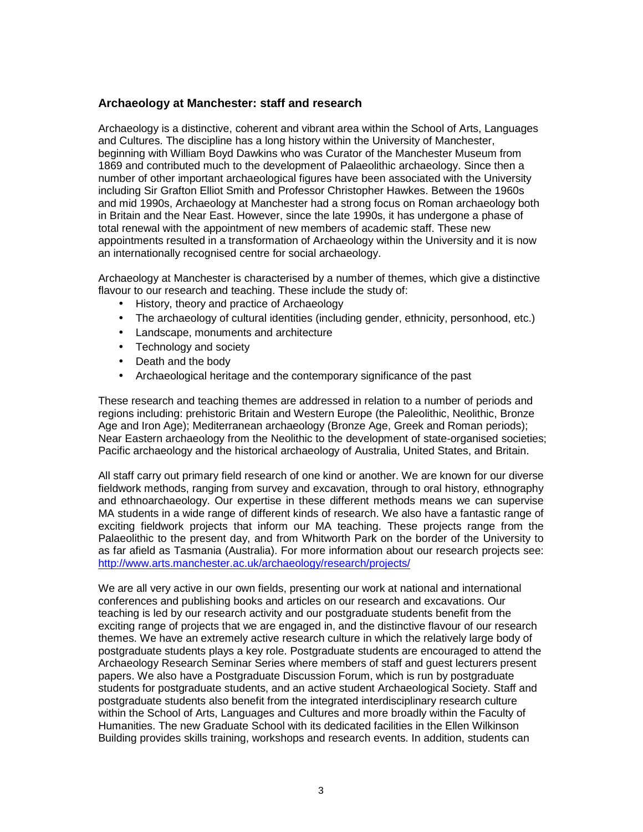# **Archaeology at Manchester: staff and research**

Archaeology is a distinctive, coherent and vibrant area within the School of Arts, Languages and Cultures. The discipline has a long history within the University of Manchester, beginning with William Boyd Dawkins who was Curator of the Manchester Museum from 1869 and contributed much to the development of Palaeolithic archaeology. Since then a number of other important archaeological figures have been associated with the University including Sir Grafton Elliot Smith and Professor Christopher Hawkes. Between the 1960s and mid 1990s, Archaeology at Manchester had a strong focus on Roman archaeology both in Britain and the Near East. However, since the late 1990s, it has undergone a phase of total renewal with the appointment of new members of academic staff. These new appointments resulted in a transformation of Archaeology within the University and it is now an internationally recognised centre for social archaeology.

Archaeology at Manchester is characterised by a number of themes, which give a distinctive flavour to our research and teaching. These include the study of:

- History, theory and practice of Archaeology
- The archaeology of cultural identities (including gender, ethnicity, personhood, etc.)
- Landscape, monuments and architecture
- Technology and society
- Death and the body
- Archaeological heritage and the contemporary significance of the past

These research and teaching themes are addressed in relation to a number of periods and regions including: prehistoric Britain and Western Europe (the Paleolithic, Neolithic, Bronze Age and Iron Age); Mediterranean archaeology (Bronze Age, Greek and Roman periods); Near Eastern archaeology from the Neolithic to the development of state-organised societies; Pacific archaeology and the historical archaeology of Australia, United States, and Britain.

All staff carry out primary field research of one kind or another. We are known for our diverse fieldwork methods, ranging from survey and excavation, through to oral history, ethnography and ethnoarchaeology. Our expertise in these different methods means we can supervise MA students in a wide range of different kinds of research. We also have a fantastic range of exciting fieldwork projects that inform our MA teaching. These projects range from the Palaeolithic to the present day, and from Whitworth Park on the border of the University to as far afield as Tasmania (Australia). For more information about our research projects see: http://www.arts.manchester.ac.uk/archaeology/research/projects/

We are all very active in our own fields, presenting our work at national and international conferences and publishing books and articles on our research and excavations. Our teaching is led by our research activity and our postgraduate students benefit from the exciting range of projects that we are engaged in, and the distinctive flavour of our research themes. We have an extremely active research culture in which the relatively large body of postgraduate students plays a key role. Postgraduate students are encouraged to attend the Archaeology Research Seminar Series where members of staff and guest lecturers present papers. We also have a Postgraduate Discussion Forum, which is run by postgraduate students for postgraduate students, and an active student Archaeological Society. Staff and postgraduate students also benefit from the integrated interdisciplinary research culture within the School of Arts, Languages and Cultures and more broadly within the Faculty of Humanities. The new Graduate School with its dedicated facilities in the Ellen Wilkinson Building provides skills training, workshops and research events. In addition, students can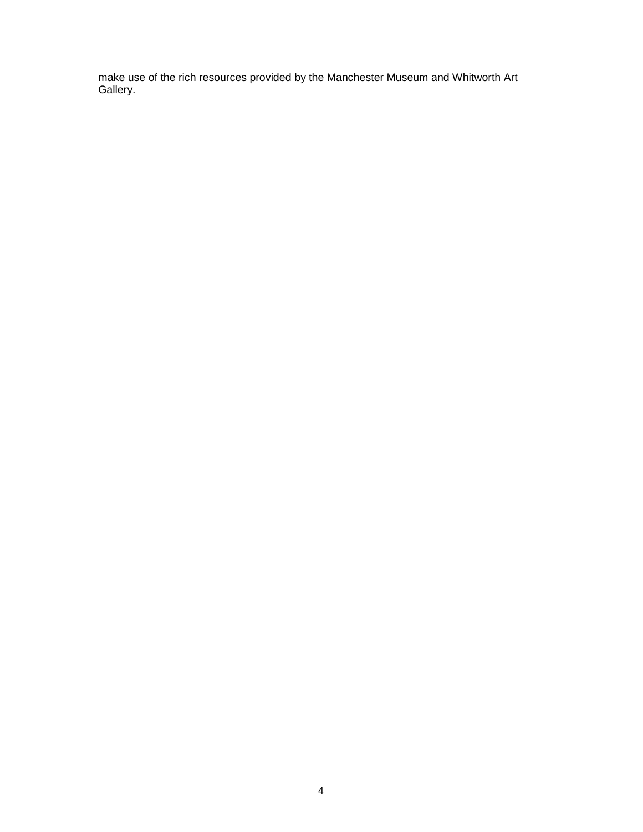make use of the rich resources provided by the Manchester Museum and Whitworth Art Gallery.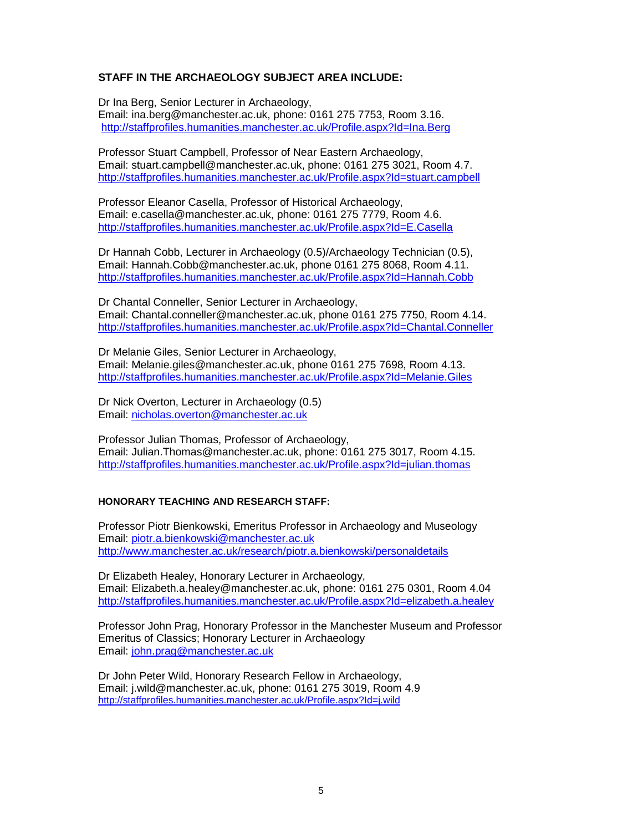# **STAFF IN THE ARCHAEOLOGY SUBJECT AREA INCLUDE:**

Dr Ina Berg, Senior Lecturer in Archaeology, Email: ina.berg@manchester.ac.uk, phone: 0161 275 7753, Room 3.16. http://staffprofiles.humanities.manchester.ac.uk/Profile.aspx?Id=Ina.Berg

Professor Stuart Campbell, Professor of Near Eastern Archaeology, Email: stuart.campbell@manchester.ac.uk, phone: 0161 275 3021, Room 4.7. http://staffprofiles.humanities.manchester.ac.uk/Profile.aspx?Id=stuart.campbell

Professor Eleanor Casella, Professor of Historical Archaeology, Email: e.casella@manchester.ac.uk, phone: 0161 275 7779, Room 4.6. http://staffprofiles.humanities.manchester.ac.uk/Profile.aspx?Id=E.Casella

Dr Hannah Cobb, Lecturer in Archaeology (0.5)/Archaeology Technician (0.5), Email: Hannah.Cobb@manchester.ac.uk, phone 0161 275 8068, Room 4.11. http://staffprofiles.humanities.manchester.ac.uk/Profile.aspx?Id=Hannah.Cobb

Dr Chantal Conneller, Senior Lecturer in Archaeology, Email: Chantal.conneller@manchester.ac.uk, phone 0161 275 7750, Room 4.14. http://staffprofiles.humanities.manchester.ac.uk/Profile.aspx?Id=Chantal.Conneller

Dr Melanie Giles, Senior Lecturer in Archaeology, Email: Melanie.giles@manchester.ac.uk, phone 0161 275 7698, Room 4.13. http://staffprofiles.humanities.manchester.ac.uk/Profile.aspx?Id=Melanie.Giles

Dr Nick Overton, Lecturer in Archaeology (0.5) Email: nicholas.overton@manchester.ac.uk

Professor Julian Thomas, Professor of Archaeology, Email: Julian.Thomas@manchester.ac.uk, phone: 0161 275 3017, Room 4.15. http://staffprofiles.humanities.manchester.ac.uk/Profile.aspx?Id=julian.thomas

#### **HONORARY TEACHING AND RESEARCH STAFF:**

Professor Piotr Bienkowski, Emeritus Professor in Archaeology and Museology Email: piotr.a.bienkowski@manchester.ac.uk http://www.manchester.ac.uk/research/piotr.a.bienkowski/personaldetails

Dr Elizabeth Healey, Honorary Lecturer in Archaeology, Email: Elizabeth.a.healey@manchester.ac.uk, phone: 0161 275 0301, Room 4.04 http://staffprofiles.humanities.manchester.ac.uk/Profile.aspx?Id=elizabeth.a.healey

Professor John Prag, Honorary Professor in the Manchester Museum and Professor Emeritus of Classics; Honorary Lecturer in Archaeology Email: john.prag@manchester.ac.uk

Dr John Peter Wild, Honorary Research Fellow in Archaeology, Email: j.wild@manchester.ac.uk, phone: 0161 275 3019, Room 4.9 http://staffprofiles.humanities.manchester.ac.uk/Profile.aspx?Id=j.wild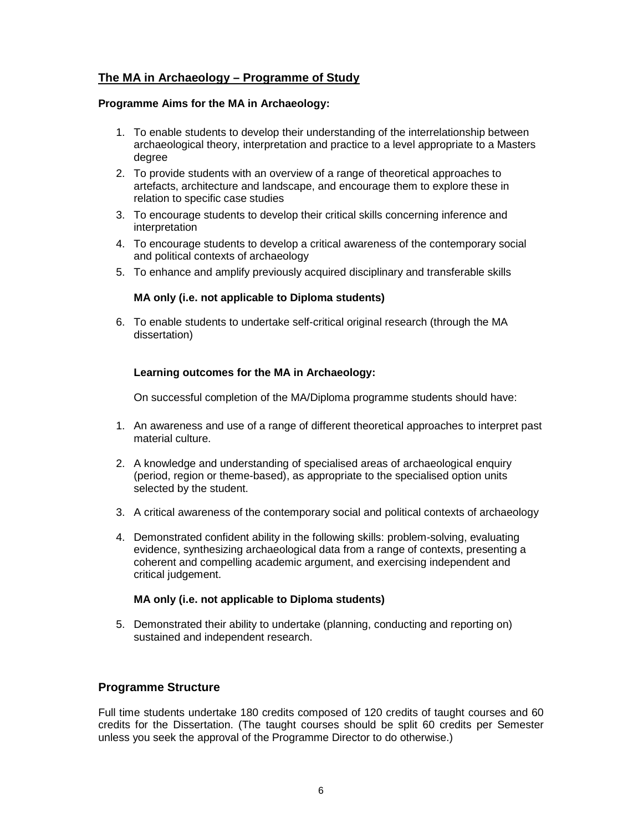# **The MA in Archaeology – Programme of Study**

## **Programme Aims for the MA in Archaeology:**

- 1. To enable students to develop their understanding of the interrelationship between archaeological theory, interpretation and practice to a level appropriate to a Masters degree
- 2. To provide students with an overview of a range of theoretical approaches to artefacts, architecture and landscape, and encourage them to explore these in relation to specific case studies
- 3. To encourage students to develop their critical skills concerning inference and interpretation
- 4. To encourage students to develop a critical awareness of the contemporary social and political contexts of archaeology
- 5. To enhance and amplify previously acquired disciplinary and transferable skills

# **MA only (i.e. not applicable to Diploma students)**

6. To enable students to undertake self-critical original research (through the MA dissertation)

# **Learning outcomes for the MA in Archaeology:**

On successful completion of the MA/Diploma programme students should have:

- 1. An awareness and use of a range of different theoretical approaches to interpret past material culture.
- 2. A knowledge and understanding of specialised areas of archaeological enquiry (period, region or theme-based), as appropriate to the specialised option units selected by the student.
- 3. A critical awareness of the contemporary social and political contexts of archaeology
- 4. Demonstrated confident ability in the following skills: problem-solving, evaluating evidence, synthesizing archaeological data from a range of contexts, presenting a coherent and compelling academic argument, and exercising independent and critical judgement.

#### **MA only (i.e. not applicable to Diploma students)**

5. Demonstrated their ability to undertake (planning, conducting and reporting on) sustained and independent research.

# **Programme Structure**

Full time students undertake 180 credits composed of 120 credits of taught courses and 60 credits for the Dissertation. (The taught courses should be split 60 credits per Semester unless you seek the approval of the Programme Director to do otherwise.)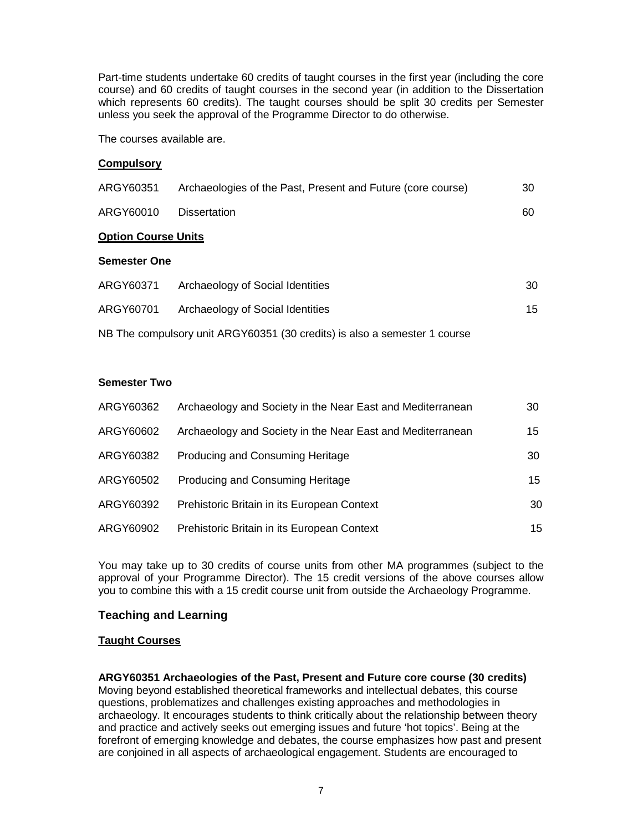Part-time students undertake 60 credits of taught courses in the first year (including the core course) and 60 credits of taught courses in the second year (in addition to the Dissertation which represents 60 credits). The taught courses should be split 30 credits per Semester unless you seek the approval of the Programme Director to do otherwise.

The courses available are.

# **Compulsory**

| ARGY60351                  | Archaeologies of the Past, Present and Future (core course) | 30 |  |  |
|----------------------------|-------------------------------------------------------------|----|--|--|
| ARGY60010                  | <b>Dissertation</b>                                         | 60 |  |  |
| <b>Option Course Units</b> |                                                             |    |  |  |
| <b>Semester One</b>        |                                                             |    |  |  |
| ARGY60371                  | Archaeology of Social Identities                            | 30 |  |  |
| ARGY60701                  | Archaeology of Social Identities                            | 15 |  |  |

NB The compulsory unit ARGY60351 (30 credits) is also a semester 1 course

# **Semester Two**

| ARGY60362 | Archaeology and Society in the Near East and Mediterranean | 30 |
|-----------|------------------------------------------------------------|----|
| ARGY60602 | Archaeology and Society in the Near East and Mediterranean | 15 |
| ARGY60382 | Producing and Consuming Heritage                           | 30 |
| ARGY60502 | Producing and Consuming Heritage                           | 15 |
| ARGY60392 | Prehistoric Britain in its European Context                | 30 |
| ARGY60902 | Prehistoric Britain in its European Context                | 15 |

You may take up to 30 credits of course units from other MA programmes (subject to the approval of your Programme Director). The 15 credit versions of the above courses allow you to combine this with a 15 credit course unit from outside the Archaeology Programme.

# **Teaching and Learning**

# **Taught Courses**

**ARGY60351 Archaeologies of the Past, Present and Future core course (30 credits)**  Moving beyond established theoretical frameworks and intellectual debates, this course questions, problematizes and challenges existing approaches and methodologies in archaeology. It encourages students to think critically about the relationship between theory and practice and actively seeks out emerging issues and future 'hot topics'. Being at the forefront of emerging knowledge and debates, the course emphasizes how past and present are conjoined in all aspects of archaeological engagement. Students are encouraged to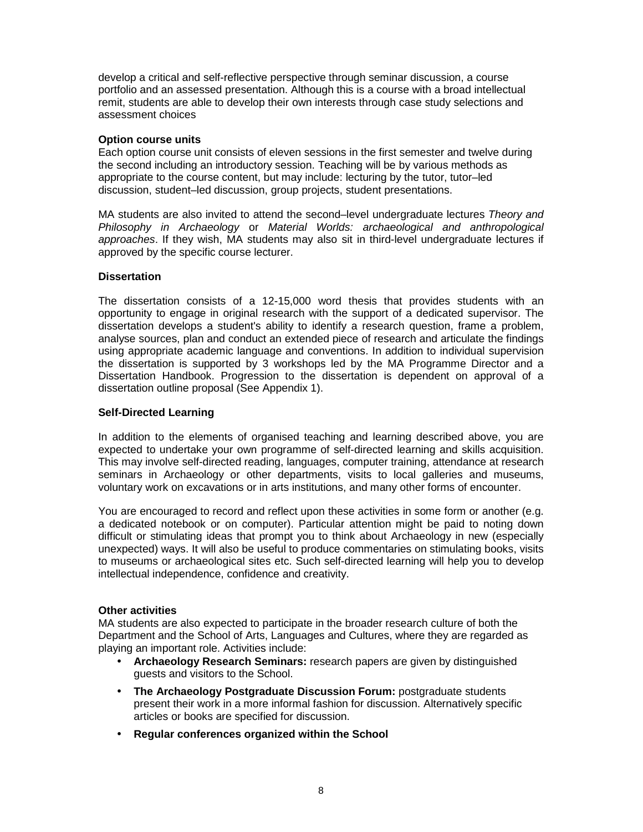develop a critical and self-reflective perspective through seminar discussion, a course portfolio and an assessed presentation. Although this is a course with a broad intellectual remit, students are able to develop their own interests through case study selections and assessment choices

#### **Option course units**

Each option course unit consists of eleven sessions in the first semester and twelve during the second including an introductory session. Teaching will be by various methods as appropriate to the course content, but may include: lecturing by the tutor, tutor–led discussion, student–led discussion, group projects, student presentations.

MA students are also invited to attend the second–level undergraduate lectures Theory and Philosophy in Archaeology or Material Worlds: archaeological and anthropological approaches. If they wish, MA students may also sit in third-level undergraduate lectures if approved by the specific course lecturer.

# **Dissertation**

The dissertation consists of a 12-15,000 word thesis that provides students with an opportunity to engage in original research with the support of a dedicated supervisor. The dissertation develops a student's ability to identify a research question, frame a problem, analyse sources, plan and conduct an extended piece of research and articulate the findings using appropriate academic language and conventions. In addition to individual supervision the dissertation is supported by 3 workshops led by the MA Programme Director and a Dissertation Handbook. Progression to the dissertation is dependent on approval of a dissertation outline proposal (See Appendix 1).

# **Self-Directed Learning**

In addition to the elements of organised teaching and learning described above, you are expected to undertake your own programme of self-directed learning and skills acquisition. This may involve self-directed reading, languages, computer training, attendance at research seminars in Archaeology or other departments, visits to local galleries and museums, voluntary work on excavations or in arts institutions, and many other forms of encounter.

You are encouraged to record and reflect upon these activities in some form or another (e.g. a dedicated notebook or on computer). Particular attention might be paid to noting down difficult or stimulating ideas that prompt you to think about Archaeology in new (especially unexpected) ways. It will also be useful to produce commentaries on stimulating books, visits to museums or archaeological sites etc. Such self-directed learning will help you to develop intellectual independence, confidence and creativity.

#### **Other activities**

MA students are also expected to participate in the broader research culture of both the Department and the School of Arts, Languages and Cultures, where they are regarded as playing an important role. Activities include:

- **Archaeology Research Seminars:** research papers are given by distinguished guests and visitors to the School.
- **The Archaeology Postgraduate Discussion Forum:** postgraduate students present their work in a more informal fashion for discussion. Alternatively specific articles or books are specified for discussion.
- **Regular conferences organized within the School**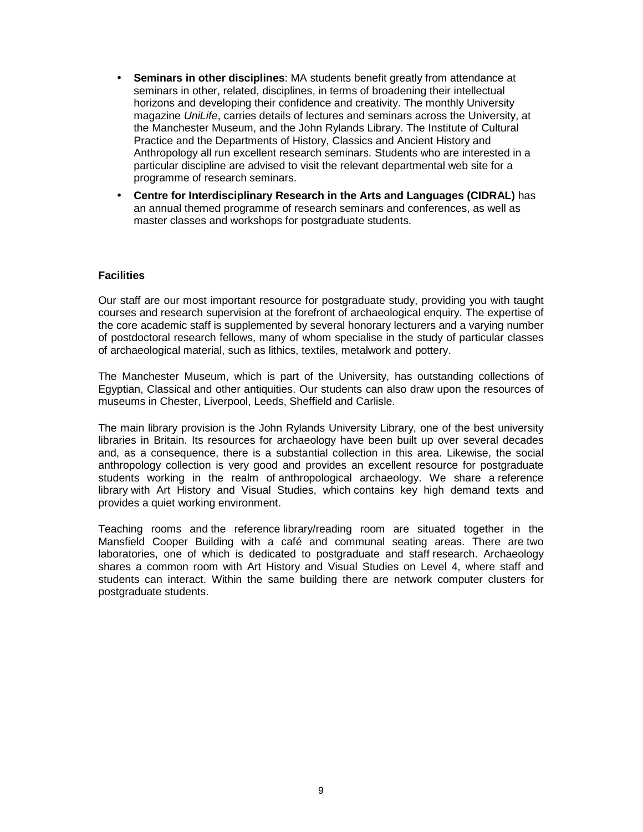- **Seminars in other disciplines**: MA students benefit greatly from attendance at seminars in other, related, disciplines, in terms of broadening their intellectual horizons and developing their confidence and creativity. The monthly University magazine UniLife, carries details of lectures and seminars across the University, at the Manchester Museum, and the John Rylands Library. The Institute of Cultural Practice and the Departments of History, Classics and Ancient History and Anthropology all run excellent research seminars. Students who are interested in a particular discipline are advised to visit the relevant departmental web site for a programme of research seminars.
- **Centre for Interdisciplinary Research in the Arts and Languages (CIDRAL)** has an annual themed programme of research seminars and conferences, as well as master classes and workshops for postgraduate students.

#### **Facilities**

Our staff are our most important resource for postgraduate study, providing you with taught courses and research supervision at the forefront of archaeological enquiry. The expertise of the core academic staff is supplemented by several honorary lecturers and a varying number of postdoctoral research fellows, many of whom specialise in the study of particular classes of archaeological material, such as lithics, textiles, metalwork and pottery.

The Manchester Museum, which is part of the University, has outstanding collections of Egyptian, Classical and other antiquities. Our students can also draw upon the resources of museums in Chester, Liverpool, Leeds, Sheffield and Carlisle.

The main library provision is the John Rylands University Library, one of the best university libraries in Britain. Its resources for archaeology have been built up over several decades and, as a consequence, there is a substantial collection in this area. Likewise, the social anthropology collection is very good and provides an excellent resource for postgraduate students working in the realm of anthropological archaeology. We share a reference library with Art History and Visual Studies, which contains key high demand texts and provides a quiet working environment.

Teaching rooms and the reference library/reading room are situated together in the Mansfield Cooper Building with a café and communal seating areas. There are two laboratories, one of which is dedicated to postgraduate and staff research. Archaeology shares a common room with Art History and Visual Studies on Level 4, where staff and students can interact. Within the same building there are network computer clusters for postgraduate students.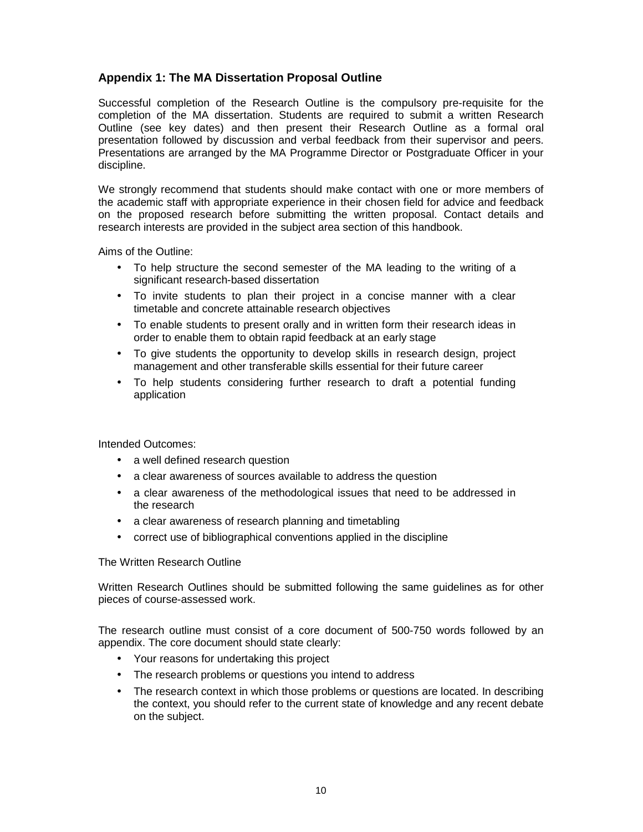# **Appendix 1: The MA Dissertation Proposal Outline**

Successful completion of the Research Outline is the compulsory pre-requisite for the completion of the MA dissertation. Students are required to submit a written Research Outline (see key dates) and then present their Research Outline as a formal oral presentation followed by discussion and verbal feedback from their supervisor and peers. Presentations are arranged by the MA Programme Director or Postgraduate Officer in your discipline.

We strongly recommend that students should make contact with one or more members of the academic staff with appropriate experience in their chosen field for advice and feedback on the proposed research before submitting the written proposal. Contact details and research interests are provided in the subject area section of this handbook.

Aims of the Outline:

- To help structure the second semester of the MA leading to the writing of a significant research-based dissertation
- To invite students to plan their project in a concise manner with a clear timetable and concrete attainable research objectives
- To enable students to present orally and in written form their research ideas in order to enable them to obtain rapid feedback at an early stage
- To give students the opportunity to develop skills in research design, project management and other transferable skills essential for their future career
- To help students considering further research to draft a potential funding application

Intended Outcomes:

- a well defined research question
- a clear awareness of sources available to address the question
- a clear awareness of the methodological issues that need to be addressed in the research
- a clear awareness of research planning and timetabling
- correct use of bibliographical conventions applied in the discipline

The Written Research Outline

Written Research Outlines should be submitted following the same guidelines as for other pieces of course-assessed work.

The research outline must consist of a core document of 500-750 words followed by an appendix. The core document should state clearly:

- Your reasons for undertaking this project
- The research problems or questions you intend to address
- The research context in which those problems or questions are located. In describing the context, you should refer to the current state of knowledge and any recent debate on the subject.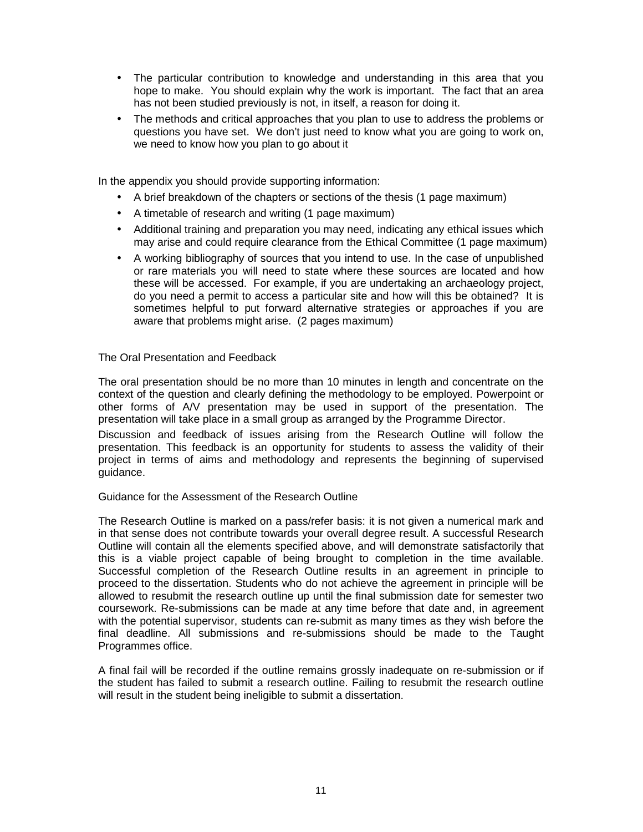- The particular contribution to knowledge and understanding in this area that you hope to make. You should explain why the work is important. The fact that an area has not been studied previously is not, in itself, a reason for doing it.
- The methods and critical approaches that you plan to use to address the problems or questions you have set. We don't just need to know what you are going to work on, we need to know how you plan to go about it

In the appendix you should provide supporting information:

- A brief breakdown of the chapters or sections of the thesis (1 page maximum)
- A timetable of research and writing (1 page maximum)
- Additional training and preparation you may need, indicating any ethical issues which may arise and could require clearance from the Ethical Committee (1 page maximum)
- A working bibliography of sources that you intend to use. In the case of unpublished or rare materials you will need to state where these sources are located and how these will be accessed. For example, if you are undertaking an archaeology project, do you need a permit to access a particular site and how will this be obtained? It is sometimes helpful to put forward alternative strategies or approaches if you are aware that problems might arise. (2 pages maximum)

The Oral Presentation and Feedback

The oral presentation should be no more than 10 minutes in length and concentrate on the context of the question and clearly defining the methodology to be employed. Powerpoint or other forms of A/V presentation may be used in support of the presentation. The presentation will take place in a small group as arranged by the Programme Director.

Discussion and feedback of issues arising from the Research Outline will follow the presentation. This feedback is an opportunity for students to assess the validity of their project in terms of aims and methodology and represents the beginning of supervised guidance.

Guidance for the Assessment of the Research Outline

The Research Outline is marked on a pass/refer basis: it is not given a numerical mark and in that sense does not contribute towards your overall degree result. A successful Research Outline will contain all the elements specified above, and will demonstrate satisfactorily that this is a viable project capable of being brought to completion in the time available. Successful completion of the Research Outline results in an agreement in principle to proceed to the dissertation. Students who do not achieve the agreement in principle will be allowed to resubmit the research outline up until the final submission date for semester two coursework. Re-submissions can be made at any time before that date and, in agreement with the potential supervisor, students can re-submit as many times as they wish before the final deadline. All submissions and re-submissions should be made to the Taught Programmes office.

A final fail will be recorded if the outline remains grossly inadequate on re-submission or if the student has failed to submit a research outline. Failing to resubmit the research outline will result in the student being ineligible to submit a dissertation.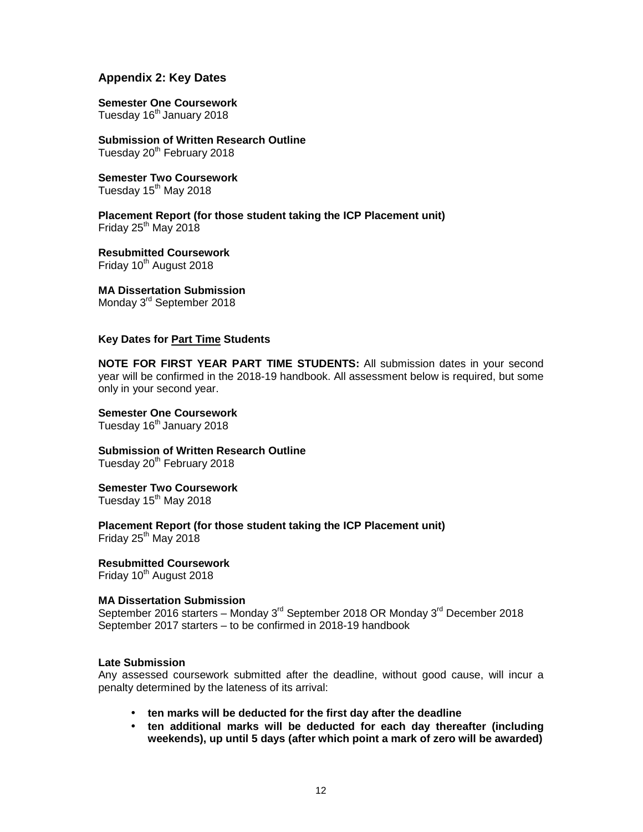# **Appendix 2: Key Dates**

# **Semester One Coursework**

Tuesday 16<sup>th</sup> January 2018

**Submission of Written Research Outline**  Tuesday 20<sup>th</sup> February 2018

**Semester Two Coursework**  Tuesday  $15<sup>th</sup>$  May 2018

**Placement Report (for those student taking the ICP Placement unit)**  Friday  $25<sup>th</sup>$  May 2018

**Resubmitted Coursework**  Friday  $10^{th}$  August 2018

**MA Dissertation Submission**  Monday 3<sup>rd</sup> September 2018

## **Key Dates for Part Time Students**

**NOTE FOR FIRST YEAR PART TIME STUDENTS:** All submission dates in your second year will be confirmed in the 2018-19 handbook. All assessment below is required, but some only in your second year.

**Semester One Coursework**  Tuesday 16<sup>th</sup> January 2018

**Submission of Written Research Outline**  Tuesday 20<sup>th</sup> February 2018

**Semester Two Coursework** 

Tuesday 15<sup>th</sup> May 2018

**Placement Report (for those student taking the ICP Placement unit)**  Friday  $25<sup>th</sup>$  May 2018

**Resubmitted Coursework**  Friday  $10^{th}$  August 2018

# **MA Dissertation Submission**

September 2016 starters – Monday  $3^{rd}$  September 2018 OR Monday  $3^{rd}$  December 2018 September 2017 starters – to be confirmed in 2018-19 handbook

#### **Late Submission**

Any assessed coursework submitted after the deadline, without good cause, will incur a penalty determined by the lateness of its arrival:

- **ten marks will be deducted for the first day after the deadline**
- **ten additional marks will be deducted for each day thereafter (including weekends), up until 5 days (after which point a mark of zero will be awarded)**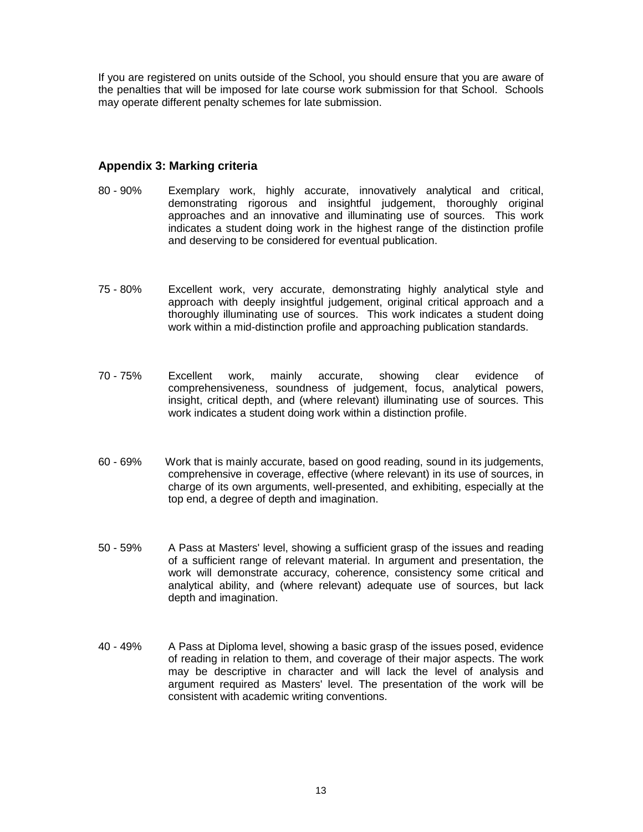If you are registered on units outside of the School, you should ensure that you are aware of the penalties that will be imposed for late course work submission for that School. Schools may operate different penalty schemes for late submission.

# **Appendix 3: Marking criteria**

- 80 90% Exemplary work, highly accurate, innovatively analytical and critical, demonstrating rigorous and insightful judgement, thoroughly original approaches and an innovative and illuminating use of sources. This work indicates a student doing work in the highest range of the distinction profile and deserving to be considered for eventual publication.
- 75 80% Excellent work, very accurate, demonstrating highly analytical style and approach with deeply insightful judgement, original critical approach and a thoroughly illuminating use of sources. This work indicates a student doing work within a mid-distinction profile and approaching publication standards.
- 70 75% Excellent work, mainly accurate, showing clear evidence of comprehensiveness, soundness of judgement, focus, analytical powers, insight, critical depth, and (where relevant) illuminating use of sources. This work indicates a student doing work within a distinction profile.
- 60 69% Work that is mainly accurate, based on good reading, sound in its judgements, comprehensive in coverage, effective (where relevant) in its use of sources, in charge of its own arguments, well-presented, and exhibiting, especially at the top end, a degree of depth and imagination.
- 50 59% A Pass at Masters' level, showing a sufficient grasp of the issues and reading of a sufficient range of relevant material. In argument and presentation, the work will demonstrate accuracy, coherence, consistency some critical and analytical ability, and (where relevant) adequate use of sources, but lack depth and imagination.
- 40 49% A Pass at Diploma level, showing a basic grasp of the issues posed, evidence of reading in relation to them, and coverage of their major aspects. The work may be descriptive in character and will lack the level of analysis and argument required as Masters' level. The presentation of the work will be consistent with academic writing conventions.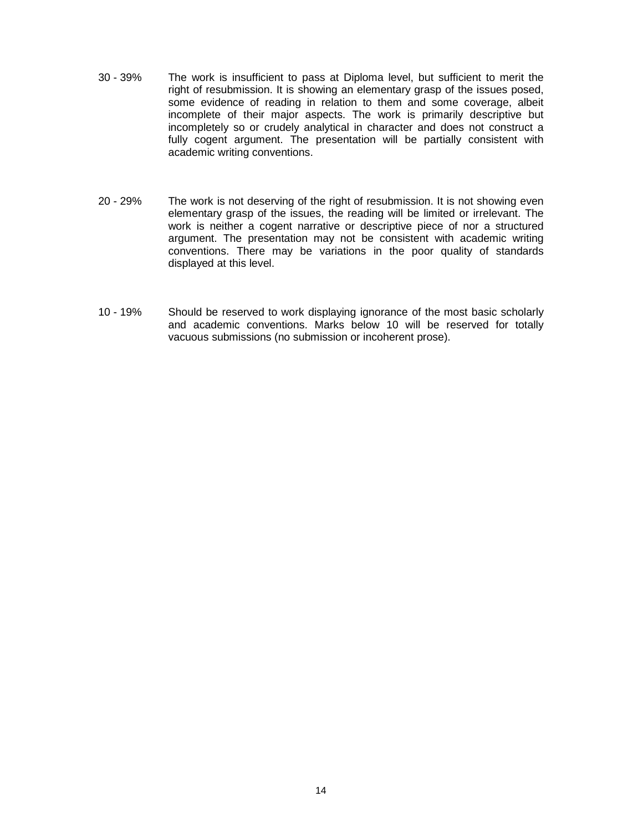- 30 39% The work is insufficient to pass at Diploma level, but sufficient to merit the right of resubmission. It is showing an elementary grasp of the issues posed, some evidence of reading in relation to them and some coverage, albeit incomplete of their major aspects. The work is primarily descriptive but incompletely so or crudely analytical in character and does not construct a fully cogent argument. The presentation will be partially consistent with academic writing conventions.
- 20 29% The work is not deserving of the right of resubmission. It is not showing even elementary grasp of the issues, the reading will be limited or irrelevant. The work is neither a cogent narrative or descriptive piece of nor a structured argument. The presentation may not be consistent with academic writing conventions. There may be variations in the poor quality of standards displayed at this level.
- 10 19% Should be reserved to work displaying ignorance of the most basic scholarly and academic conventions. Marks below 10 will be reserved for totally vacuous submissions (no submission or incoherent prose).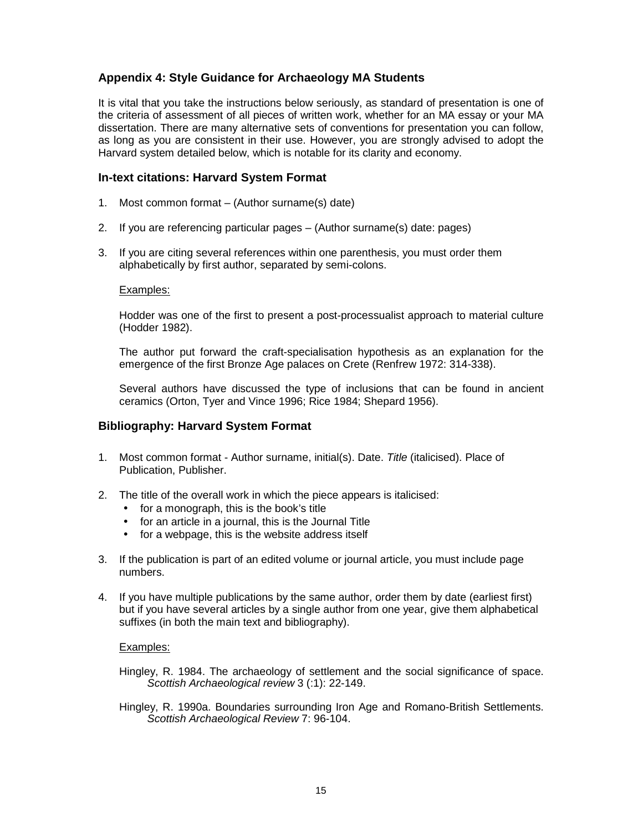# **Appendix 4: Style Guidance for Archaeology MA Students**

It is vital that you take the instructions below seriously, as standard of presentation is one of the criteria of assessment of all pieces of written work, whether for an MA essay or your MA dissertation. There are many alternative sets of conventions for presentation you can follow, as long as you are consistent in their use. However, you are strongly advised to adopt the Harvard system detailed below, which is notable for its clarity and economy.

# **In-text citations: Harvard System Format**

- 1. Most common format (Author surname(s) date)
- 2. If you are referencing particular pages (Author surname(s) date: pages)
- 3. If you are citing several references within one parenthesis, you must order them alphabetically by first author, separated by semi-colons.

#### Examples:

 Hodder was one of the first to present a post-processualist approach to material culture (Hodder 1982).

The author put forward the craft-specialisation hypothesis as an explanation for the emergence of the first Bronze Age palaces on Crete (Renfrew 1972: 314-338).

Several authors have discussed the type of inclusions that can be found in ancient ceramics (Orton, Tyer and Vince 1996; Rice 1984; Shepard 1956).

#### **Bibliography: Harvard System Format**

- 1. Most common format Author surname, initial(s). Date. Title (italicised). Place of Publication, Publisher.
- 2. The title of the overall work in which the piece appears is italicised:
	- for a monograph, this is the book's title
	- for an article in a journal, this is the Journal Title
	- for a webpage, this is the website address itself
- 3. If the publication is part of an edited volume or journal article, you must include page numbers.
- 4. If you have multiple publications by the same author, order them by date (earliest first) but if you have several articles by a single author from one year, give them alphabetical suffixes (in both the main text and bibliography).

#### Examples:

Hingley, R. 1984. The archaeology of settlement and the social significance of space. Scottish Archaeological review 3 (:1): 22-149.

Hingley, R. 1990a. Boundaries surrounding Iron Age and Romano-British Settlements. Scottish Archaeological Review 7: 96-104.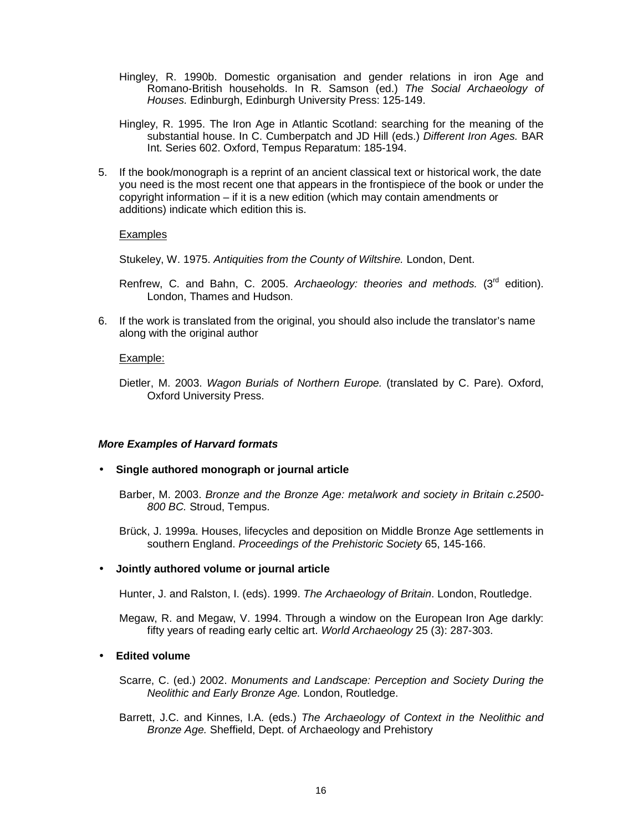- Hingley, R. 1990b. Domestic organisation and gender relations in iron Age and Romano-British households. In R. Samson (ed.) The Social Archaeology of Houses. Edinburgh, Edinburgh University Press: 125-149.
- Hingley, R. 1995. The Iron Age in Atlantic Scotland: searching for the meaning of the substantial house. In C. Cumberpatch and JD Hill (eds.) *Different Iron Ages.* BAR Int. Series 602. Oxford, Tempus Reparatum: 185-194.
- 5. If the book/monograph is a reprint of an ancient classical text or historical work, the date you need is the most recent one that appears in the frontispiece of the book or under the copyright information – if it is a new edition (which may contain amendments or additions) indicate which edition this is.

#### Examples

Stukeley, W. 1975. Antiquities from the County of Wiltshire. London, Dent.

Renfrew, C. and Bahn, C. 2005. Archaeology: theories and methods. ( $3<sup>rd</sup>$  edition). London, Thames and Hudson.

6. If the work is translated from the original, you should also include the translator's name along with the original author

## Example:

Dietler, M. 2003. Wagon Burials of Northern Europe. (translated by C. Pare). Oxford, Oxford University Press.

#### **More Examples of Harvard formats**

• **Single authored monograph or journal article** 

Barber, M. 2003. Bronze and the Bronze Age: metalwork and society in Britain c.2500- 800 BC. Stroud, Tempus.

Brück, J. 1999a. Houses, lifecycles and deposition on Middle Bronze Age settlements in southern England. Proceedings of the Prehistoric Society 65, 145-166.

# • **Jointly authored volume or journal article**

Hunter, J. and Ralston, I. (eds). 1999. The Archaeology of Britain. London, Routledge.

Megaw, R. and Megaw, V. 1994. Through a window on the European Iron Age darkly: fifty years of reading early celtic art. World Archaeology 25 (3): 287-303.

# • **Edited volume**

Scarre, C. (ed.) 2002. Monuments and Landscape: Perception and Society During the Neolithic and Early Bronze Age. London, Routledge.

Barrett, J.C. and Kinnes, I.A. (eds.) The Archaeology of Context in the Neolithic and Bronze Age. Sheffield, Dept. of Archaeology and Prehistory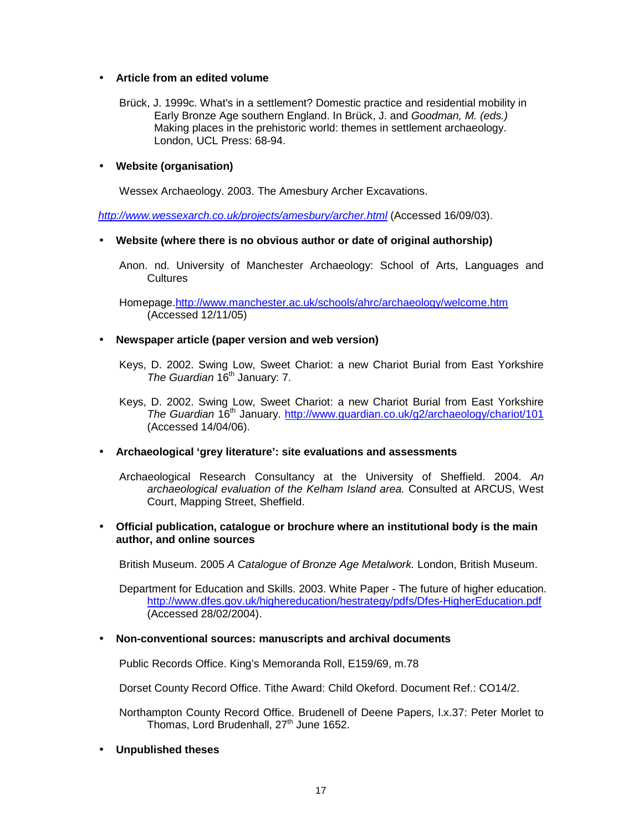# • **Article from an edited volume**

Brück, J. 1999c. What's in a settlement? Domestic practice and residential mobility in Early Bronze Age southern England. In Brück, J. and Goodman, M. (eds.) Making places in the prehistoric world: themes in settlement archaeology. London, UCL Press: 68-94.

## • **Website (organisation)**

Wessex Archaeology. 2003. The Amesbury Archer Excavations.

http://www.wessexarch.co.uk/projects/amesbury/archer.html (Accessed 16/09/03).

## • **Website (where there is no obvious author or date of original authorship)**

Anon. nd. University of Manchester Archaeology: School of Arts, Languages and **Cultures** 

Homepage.http://www.manchester.ac.uk/schools/ahrc/archaeology/welcome.htm (Accessed 12/11/05)

## • **Newspaper article (paper version and web version)**

- Keys, D. 2002. Swing Low, Sweet Chariot: a new Chariot Burial from East Yorkshire The Guardian 16<sup>th</sup> January: 7.
- Keys, D. 2002. Swing Low, Sweet Chariot: a new Chariot Burial from East Yorkshire The Guardian 16th January. http://www.guardian.co.uk/g2/archaeology/chariot/101 (Accessed 14/04/06).

# • **Archaeological 'grey literature': site evaluations and assessments**

Archaeological Research Consultancy at the University of Sheffield. 2004. An archaeological evaluation of the Kelham Island area. Consulted at ARCUS, West Court, Mapping Street, Sheffield.

• **Official publication, catalogue or brochure where an institutional body is the main author, and online sources** 

British Museum. 2005 A Catalogue of Bronze Age Metalwork. London, British Museum.

Department for Education and Skills. 2003. White Paper - The future of higher education. http://www.dfes.gov.uk/highereducation/hestrategy/pdfs/Dfes-HigherEducation.pdf (Accessed 28/02/2004).

#### • **Non-conventional sources: manuscripts and archival documents**

Public Records Office. King's Memoranda Roll, E159/69, m.78

Dorset County Record Office. Tithe Award: Child Okeford. Document Ref.: CO14/2.

Northampton County Record Office. Brudenell of Deene Papers, l.x.37: Peter Morlet to Thomas, Lord Brudenhall, 27<sup>th</sup> June 1652.

• **Unpublished theses**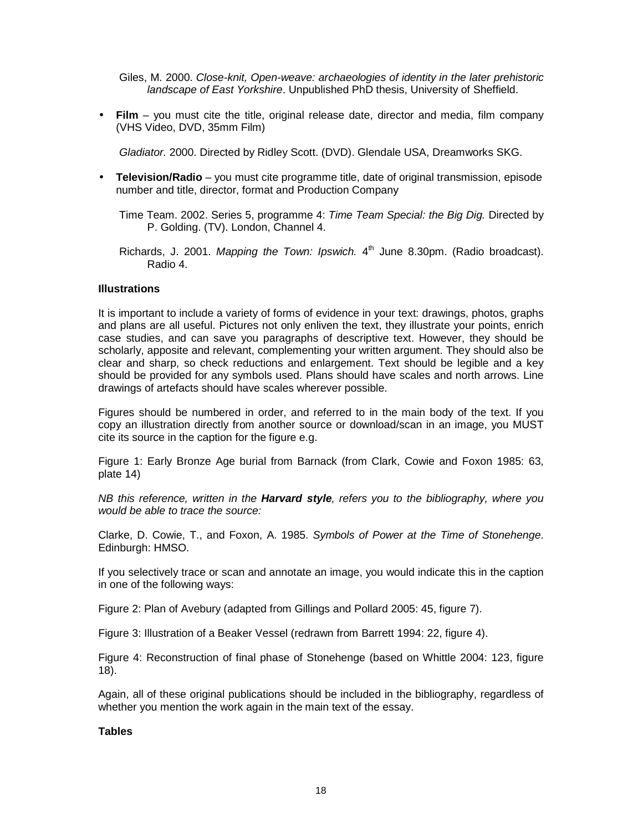Giles, M. 2000. Close-knit, Open-weave: archaeologies of identity in the later prehistoric landscape of East Yorkshire. Unpublished PhD thesis, University of Sheffield.

• **Film** – you must cite the title, original release date, director and media, film company (VHS Video, DVD, 35mm Film)

Gladiator. 2000. Directed by Ridley Scott. (DVD). Glendale USA, Dreamworks SKG.

- **Television/Radio** you must cite programme title, date of original transmission, episode number and title, director, format and Production Company
	- Time Team. 2002. Series 5, programme 4: Time Team Special: the Big Dig. Directed by P. Golding. (TV). London, Channel 4.
	- Richards, J. 2001. Mapping the Town: Ipswich.  $4<sup>th</sup>$  June 8.30pm. (Radio broadcast). Radio 4.

## **Illustrations**

It is important to include a variety of forms of evidence in your text: drawings, photos, graphs and plans are all useful. Pictures not only enliven the text, they illustrate your points, enrich case studies, and can save you paragraphs of descriptive text. However, they should be scholarly, apposite and relevant, complementing your written argument. They should also be clear and sharp, so check reductions and enlargement. Text should be legible and a key should be provided for any symbols used. Plans should have scales and north arrows. Line drawings of artefacts should have scales wherever possible.

Figures should be numbered in order, and referred to in the main body of the text. If you copy an illustration directly from another source or download/scan in an image, you MUST cite its source in the caption for the figure e.g.

Figure 1: Early Bronze Age burial from Barnack (from Clark, Cowie and Foxon 1985: 63, plate 14)

NB this reference, written in the **Harvard style**, refers you to the bibliography, where you would be able to trace the source:

Clarke, D. Cowie, T., and Foxon, A. 1985. Symbols of Power at the Time of Stonehenge. Edinburgh: HMSO.

If you selectively trace or scan and annotate an image, you would indicate this in the caption in one of the following ways:

Figure 2: Plan of Avebury (adapted from Gillings and Pollard 2005: 45, figure 7).

Figure 3: Illustration of a Beaker Vessel (redrawn from Barrett 1994: 22, figure 4).

Figure 4: Reconstruction of final phase of Stonehenge (based on Whittle 2004: 123, figure 18).

Again, all of these original publications should be included in the bibliography, regardless of whether you mention the work again in the main text of the essay.

**Tables**